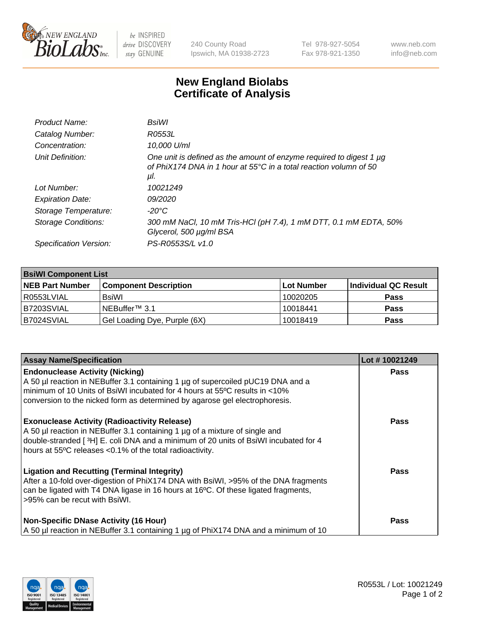

 $be$  INSPIRED drive DISCOVERY stay GENUINE

240 County Road Ipswich, MA 01938-2723 Tel 978-927-5054 Fax 978-921-1350 www.neb.com info@neb.com

## **New England Biolabs Certificate of Analysis**

| Product Name:           | BsiWl                                                                                                                                                           |
|-------------------------|-----------------------------------------------------------------------------------------------------------------------------------------------------------------|
| Catalog Number:         | R0553L                                                                                                                                                          |
| Concentration:          | 10,000 U/ml                                                                                                                                                     |
| Unit Definition:        | One unit is defined as the amount of enzyme required to digest 1 $\mu$ g<br>of PhiX174 DNA in 1 hour at 55 $^{\circ}$ C in a total reaction volumn of 50<br>μl. |
| Lot Number:             | 10021249                                                                                                                                                        |
| <b>Expiration Date:</b> | 09/2020                                                                                                                                                         |
| Storage Temperature:    | -20°C                                                                                                                                                           |
| Storage Conditions:     | 300 mM NaCl, 10 mM Tris-HCl (pH 7.4), 1 mM DTT, 0.1 mM EDTA, 50%<br>Glycerol, 500 µg/ml BSA                                                                     |
| Specification Version:  | PS-R0553S/L v1.0                                                                                                                                                |
|                         |                                                                                                                                                                 |

| <b>BsiWI Component List</b> |                              |             |                      |  |
|-----------------------------|------------------------------|-------------|----------------------|--|
| <b>NEB Part Number</b>      | <b>Component Description</b> | ∣Lot Number | Individual QC Result |  |
| R0553LVIAL                  | BsiWl                        | 10020205    | <b>Pass</b>          |  |
| B7203SVIAL                  | NEBuffer <sup>™</sup> 3.1    | 10018441    | <b>Pass</b>          |  |
| B7024SVIAL                  | Gel Loading Dye, Purple (6X) | 10018419    | <b>Pass</b>          |  |

| <b>Assay Name/Specification</b>                                                                                                                                                                                                                                                        | Lot #10021249 |
|----------------------------------------------------------------------------------------------------------------------------------------------------------------------------------------------------------------------------------------------------------------------------------------|---------------|
| <b>Endonuclease Activity (Nicking)</b><br>A 50 µl reaction in NEBuffer 3.1 containing 1 µg of supercoiled pUC19 DNA and a<br>minimum of 10 Units of BsiWI incubated for 4 hours at 55°C results in <10%<br>conversion to the nicked form as determined by agarose gel electrophoresis. | <b>Pass</b>   |
| <b>Exonuclease Activity (Radioactivity Release)</b><br>A 50 µl reaction in NEBuffer 3.1 containing 1 µg of a mixture of single and<br>double-stranded [3H] E. coli DNA and a minimum of 20 units of BsiWI incubated for 4<br>hours at 55°C releases <0.1% of the total radioactivity.  | <b>Pass</b>   |
| <b>Ligation and Recutting (Terminal Integrity)</b><br>After a 10-fold over-digestion of PhiX174 DNA with BsiWI, >95% of the DNA fragments<br>can be ligated with T4 DNA ligase in 16 hours at 16°C. Of these ligated fragments,<br>>95% can be recut with BsiWI.                       | <b>Pass</b>   |
| <b>Non-Specific DNase Activity (16 Hour)</b><br>A 50 µl reaction in NEBuffer 3.1 containing 1 µg of PhiX174 DNA and a minimum of 10                                                                                                                                                    | Pass          |